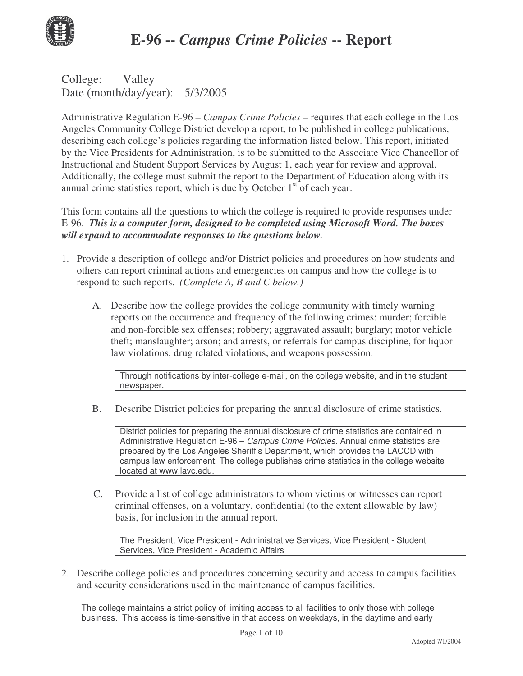

College: Valley Date (month/day/year): 5/3/2005

Administrative Regulation E-96 – *Campus Crime Policies* – requires that each college in the Los Angeles Community College District develop a report, to be published in college publications, describing each college's policies regarding the information listed below. This report, initiated by the Vice Presidents for Administration, is to be submitted to the Associate Vice Chancellor of Instructional and Student Support Services by August 1, each year for review and approval. Additionally, the college must submit the report to the Department of Education along with its annual crime statistics report, which is due by October  $1<sup>st</sup>$  of each year.

This form contains all the questions to which the college is required to provide responses under E-96. *This is a computer form, designed to be completed using Microsoft Word. The boxes will expand to accommodate responses to the questions below.*

- 1. Provide a description of college and/or District policies and procedures on how students and others can report criminal actions and emergencies on campus and how the college is to respond to such reports. *(Complete A, B and C below.)*
	- A. Describe how the college provides the college community with timely warning reports on the occurrence and frequency of the following crimes: murder; forcible and non-forcible sex offenses; robbery; aggravated assault; burglary; motor vehicle theft; manslaughter; arson; and arrests, or referrals for campus discipline, for liquor law violations, drug related violations, and weapons possession.

Through notifications by inter-college e-mail, on the college website, and in the student newspaper.

B. Describe District policies for preparing the annual disclosure of crime statistics.

District policies for preparing the annual disclosure of crime statistics are contained in Administrative Regulation E-96 – *Campus Crime Policies*. Annual crime statistics are prepared by the Los Angeles Sheriff's Department, which provides the LACCD with campus law enforcement. The college publishes crime statistics in the college website located at www.lavc.edu.

C. Provide a list of college administrators to whom victims or witnesses can report criminal offenses, on a voluntary, confidential (to the extent allowable by law) basis, for inclusion in the annual report.

The President, Vice President - Administrative Services, Vice President - Student Services, Vice President - Academic Affairs

2. Describe college policies and procedures concerning security and access to campus facilities and security considerations used in the maintenance of campus facilities.

The college maintains a strict policy of limiting access to all facilities to only those with college business. This access is time-sensitive in that access on weekdays, in the daytime and early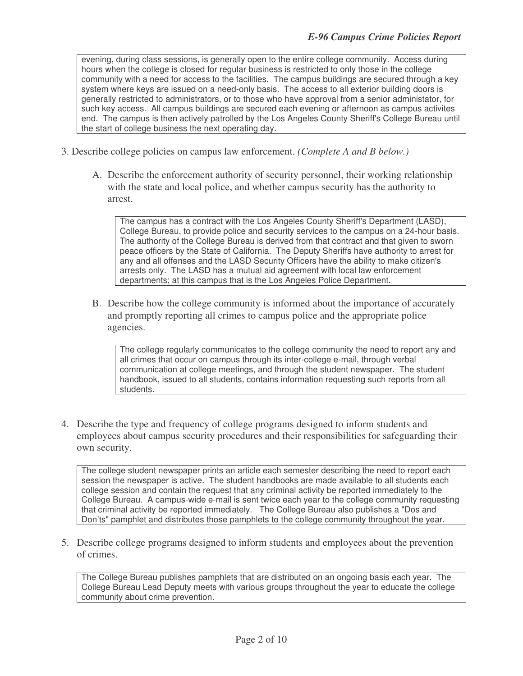evening, during class sessions, is generally open to the entire college community. Access during hours when the college is closed for regular business is restricted to only those in the college community with a need for access to the facilities. The campus buildings are secured through a key system where keys are issued on a need-only basis. The access to all exterior building doors is generally restricted to administrators, or to those who have approval from a senior administator, for such key access. All campus buildings are secured each evening or afternoon as campus activites end. The campus is then actively patrolled by the Los Angeles County Sheriff's College Bureau until the start of college business the next operating day.

- 3. Describe college policies on campus law enforcement. *(Complete A and B below.)*
	- A. Describe the enforcement authority of security personnel, their working relationship with the state and local police, and whether campus security has the authority to arrest.

The campus has a contract with the Los Angeles County Sheriff's Department (LASD), College Bureau, to provide police and security services to the campus on a 24-hour basis. The authority of the College Bureau is derived from that contract and that given to sworn peace officers by the State of California. The Deputy Sheriffs have authority to arrest for any and all offenses and the LASD Security Officers have the ability to make citizen's arrests only. The LASD has a mutual aid agreement with local law enforcement departments; at this campus that is the Los Angeles Police Department.

B. Describe how the college community is informed about the importance of accurately and promptly reporting all crimes to campus police and the appropriate police agencies.

The college regularly communicates to the college community the need to report any and all crimes that occur on campus through its inter-college e-mail, through verbal communication at college meetings, and through the student newspaper. The student handbook, issued to all students, contains information requesting such reports from all students.

4. Describe the type and frequency of college programs designed to inform students and employees about campus security procedures and their responsibilities for safeguarding their own security.

The college student newspaper prints an article each semester describing the need to report each session the newspaper is active. The student handbooks are made available to all students each college session and contain the request that any criminal activity be reported immediately to the College Bureau. A campus-wide e-mail is sent twice each year to the college community requesting that criminal activity be reported immediately. The College Bureau also publishes a "Dos and Don'ts" pamphlet and distributes those pamphlets to the college community throughout the year.

5. Describe college programs designed to inform students and employees about the prevention of crimes.

The College Bureau publishes pamphlets that are distributed on an ongoing basis each year. The College Bureau Lead Deputy meets with various groups throughout the year to educate the college community about crime prevention.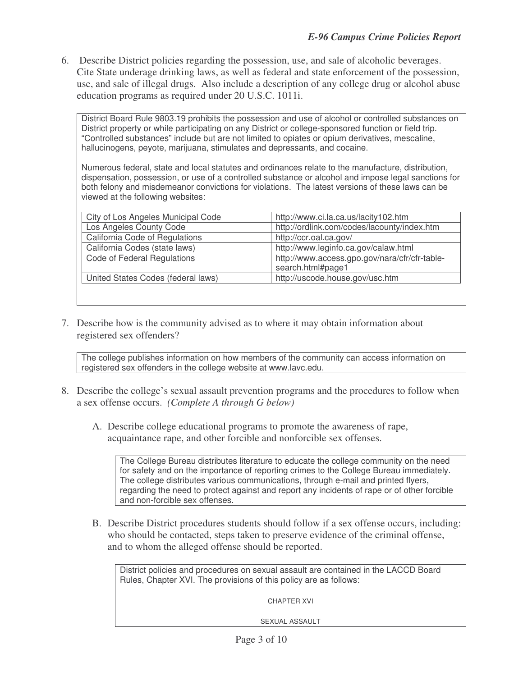6. Describe District policies regarding the possession, use, and sale of alcoholic beverages. Cite State underage drinking laws, as well as federal and state enforcement of the possession, use, and sale of illegal drugs. Also include a description of any college drug or alcohol abuse education programs as required under 20 U.S.C. 1011i.

District Board Rule 9803.19 prohibits the possession and use of alcohol or controlled substances on District property or while participating on any District or college-sponsored function or field trip. "Controlled substances" include but are not limited to opiates or opium derivatives, mescaline, hallucinogens, peyote, marijuana, stimulates and depressants, and cocaine.

Numerous federal, state and local statutes and ordinances relate to the manufacture, distribution, dispensation, possession, or use of a controlled substance or alcohol and impose legal sanctions for both felony and misdemeanor convictions for violations. The latest versions of these laws can be viewed at the following websites:

| City of Los Angeles Municipal Code | http://www.ci.la.ca.us/lacity102.htm          |
|------------------------------------|-----------------------------------------------|
| Los Angeles County Code            | http://ordlink.com/codes/lacounty/index.htm   |
| California Code of Regulations     | http://ccr.oal.ca.gov/                        |
| California Codes (state laws)      | http://www.leginfo.ca.gov/calaw.html          |
| Code of Federal Regulations        | http://www.access.gpo.gov/nara/cfr/cfr-table- |
|                                    | search.html#page1                             |
| United States Codes (federal laws) | http://uscode.house.gov/usc.htm               |
|                                    |                                               |

7. Describe how is the community advised as to where it may obtain information about registered sex offenders?

The college publishes information on how members of the community can access information on registered sex offenders in the college website at www.lavc.edu.

- 8. Describe the college's sexual assault prevention programs and the procedures to follow when a sex offense occurs. *(Complete A through G below)*
	- A. Describe college educational programs to promote the awareness of rape, acquaintance rape, and other forcible and nonforcible sex offenses.

The College Bureau distributes literature to educate the college community on the need for safety and on the importance of reporting crimes to the College Bureau immediately. The college distributes various communications, through e-mail and printed flyers, regarding the need to protect against and report any incidents of rape or of other forcible and non-forcible sex offenses.

B. Describe District procedures students should follow if a sex offense occurs, including: who should be contacted, steps taken to preserve evidence of the criminal offense, and to whom the alleged offense should be reported.

District policies and procedures on sexual assault are contained in the LACCD Board Rules, Chapter XVI. The provisions of this policy are as follows:

CHAPTER XVI

SEXUAL ASSAULT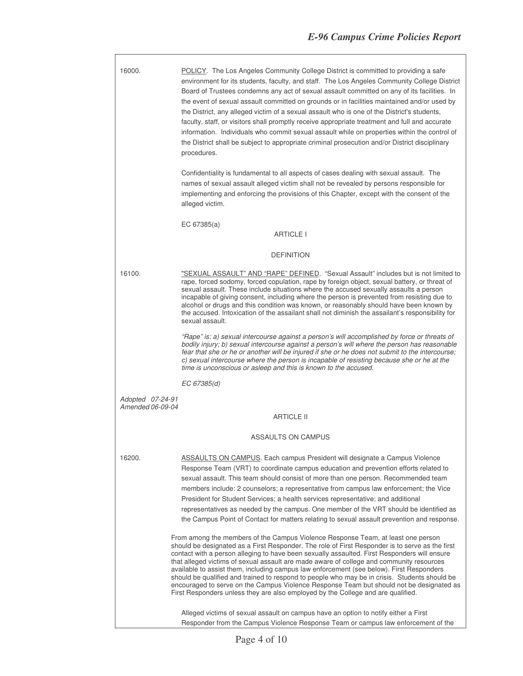٦

| 16000.                                | POLICY. The Los Angeles Community College District is committed to providing a safe<br>environment for its students, faculty, and staff. The Los Angeles Community College District<br>Board of Trustees condemns any act of sexual assault committed on any of its facilities. In<br>the event of sexual assault committed on grounds or in facilities maintained and/or used by<br>the District, any alleged victim of a sexual assault who is one of the District's students,<br>faculty, staff, or visitors shall promptly receive appropriate treatment and full and accurate<br>information. Individuals who commit sexual assault while on properties within the control of<br>the District shall be subject to appropriate criminal prosecution and/or District disciplinary<br>procedures. |  |  |  |  |
|---------------------------------------|-----------------------------------------------------------------------------------------------------------------------------------------------------------------------------------------------------------------------------------------------------------------------------------------------------------------------------------------------------------------------------------------------------------------------------------------------------------------------------------------------------------------------------------------------------------------------------------------------------------------------------------------------------------------------------------------------------------------------------------------------------------------------------------------------------|--|--|--|--|
|                                       | Confidentiality is fundamental to all aspects of cases dealing with sexual assault. The<br>names of sexual assault alleged victim shall not be revealed by persons responsible for<br>implementing and enforcing the provisions of this Chapter, except with the consent of the<br>alleged victim.                                                                                                                                                                                                                                                                                                                                                                                                                                                                                                  |  |  |  |  |
| EC $67385(a)$                         |                                                                                                                                                                                                                                                                                                                                                                                                                                                                                                                                                                                                                                                                                                                                                                                                     |  |  |  |  |
| <b>ARTICLE I</b>                      |                                                                                                                                                                                                                                                                                                                                                                                                                                                                                                                                                                                                                                                                                                                                                                                                     |  |  |  |  |
|                                       | <b>DEFINITION</b>                                                                                                                                                                                                                                                                                                                                                                                                                                                                                                                                                                                                                                                                                                                                                                                   |  |  |  |  |
| 16100.                                | "SEXUAL ASSAULT" AND "RAPE" DEFINED. "Sexual Assault" includes but is not limited to<br>rape, forced sodomy, forced copulation, rape by foreign object, sexual battery, or threat of<br>sexual assault. These include situations where the accused sexually assaults a person<br>incapable of giving consent, including where the person is prevented from resisting due to<br>alcohol or drugs and this condition was known, or reasonably should have been known by<br>the accused. Intoxication of the assailant shall not diminish the assailant's responsibility for<br>sexual assault.                                                                                                                                                                                                        |  |  |  |  |
|                                       | "Rape" is: a) sexual intercourse against a person's will accomplished by force or threats of<br>bodily injury; b) sexual intercourse against a person's will where the person has reasonable<br>fear that she or he or another will be injured if she or he does not submit to the intercourse;<br>c) sexual intercourse where the person is incapable of resisting because she or he at the<br>time is unconscious or asleep and this is known to the accused.                                                                                                                                                                                                                                                                                                                                     |  |  |  |  |
|                                       | EC 67385(d)                                                                                                                                                                                                                                                                                                                                                                                                                                                                                                                                                                                                                                                                                                                                                                                         |  |  |  |  |
| Adopted 07-24-91                      |                                                                                                                                                                                                                                                                                                                                                                                                                                                                                                                                                                                                                                                                                                                                                                                                     |  |  |  |  |
| Amended 06-09-04<br><b>ARTICLE II</b> |                                                                                                                                                                                                                                                                                                                                                                                                                                                                                                                                                                                                                                                                                                                                                                                                     |  |  |  |  |
| ASSAULTS ON CAMPUS                    |                                                                                                                                                                                                                                                                                                                                                                                                                                                                                                                                                                                                                                                                                                                                                                                                     |  |  |  |  |
| 16200.                                | <b>ASSAULTS ON CAMPUS.</b> Each campus President will designate a Campus Violence<br>Response Team (VRT) to coordinate campus education and prevention efforts related to<br>sexual assault. This team should consist of more than one person. Recommended team<br>members include: 2 counselors; a representative from campus law enforcement; the Vice<br>President for Student Services; a health services representative; and additional<br>representatives as needed by the campus. One member of the VRT should be identified as<br>the Campus Point of Contact for matters relating to sexual assault prevention and response.                                                                                                                                                               |  |  |  |  |
|                                       | From among the members of the Campus Violence Response Team, at least one person<br>should be designated as a First Responder. The role of First Responder is to serve as the first<br>contact with a person alleging to have been sexually assaulted. First Responders will ensure<br>that alleged victims of sexual assault are made aware of college and community resources<br>available to assist them, including campus law enforcement (see below). First Responders<br>should be qualified and trained to respond to people who may be in crisis. Students should be<br>encouraged to serve on the Campus Violence Response Team but should not be designated as<br>First Responders unless they are also employed by the College and are qualified.                                        |  |  |  |  |
|                                       | Alleged victims of sexual assault on campus have an option to notify either a First<br>Responder from the Campus Violence Response Team or campus law enforcement of the                                                                                                                                                                                                                                                                                                                                                                                                                                                                                                                                                                                                                            |  |  |  |  |

 $\sqrt{ }$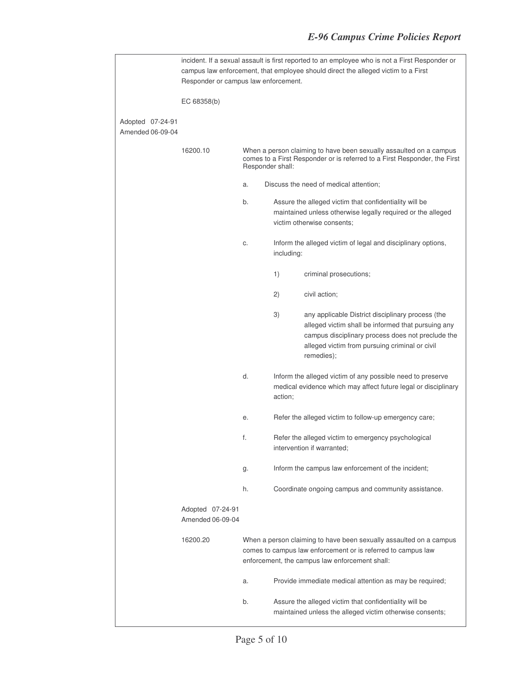|                                      | incident. If a sexual assault is first reported to an employee who is not a First Responder or<br>campus law enforcement, that employee should direct the alleged victim to a First<br>Responder or campus law enforcement. |                                                                                                                                                                                      |                                                                                                                                                                                                                                                         |                                                                                                                                                                                                                              |
|--------------------------------------|-----------------------------------------------------------------------------------------------------------------------------------------------------------------------------------------------------------------------------|--------------------------------------------------------------------------------------------------------------------------------------------------------------------------------------|---------------------------------------------------------------------------------------------------------------------------------------------------------------------------------------------------------------------------------------------------------|------------------------------------------------------------------------------------------------------------------------------------------------------------------------------------------------------------------------------|
|                                      | EC 68358(b)                                                                                                                                                                                                                 |                                                                                                                                                                                      |                                                                                                                                                                                                                                                         |                                                                                                                                                                                                                              |
| Adopted 07-24-91<br>Amended 06-09-04 |                                                                                                                                                                                                                             |                                                                                                                                                                                      |                                                                                                                                                                                                                                                         |                                                                                                                                                                                                                              |
|                                      | 16200.10                                                                                                                                                                                                                    | When a person claiming to have been sexually assaulted on a campus<br>comes to a First Responder or is referred to a First Responder, the First<br>Responder shall:                  |                                                                                                                                                                                                                                                         |                                                                                                                                                                                                                              |
|                                      |                                                                                                                                                                                                                             | a.                                                                                                                                                                                   |                                                                                                                                                                                                                                                         | Discuss the need of medical attention;                                                                                                                                                                                       |
|                                      |                                                                                                                                                                                                                             | b.                                                                                                                                                                                   |                                                                                                                                                                                                                                                         | Assure the alleged victim that confidentiality will be<br>maintained unless otherwise legally required or the alleged<br>victim otherwise consents;                                                                          |
|                                      |                                                                                                                                                                                                                             | C.                                                                                                                                                                                   | including:                                                                                                                                                                                                                                              | Inform the alleged victim of legal and disciplinary options,                                                                                                                                                                 |
|                                      |                                                                                                                                                                                                                             |                                                                                                                                                                                      | 1)                                                                                                                                                                                                                                                      | criminal prosecutions;                                                                                                                                                                                                       |
|                                      |                                                                                                                                                                                                                             |                                                                                                                                                                                      | 2)                                                                                                                                                                                                                                                      | civil action;                                                                                                                                                                                                                |
|                                      |                                                                                                                                                                                                                             |                                                                                                                                                                                      | 3)                                                                                                                                                                                                                                                      | any applicable District disciplinary process (the<br>alleged victim shall be informed that pursuing any<br>campus disciplinary process does not preclude the<br>alleged victim from pursuing criminal or civil<br>remedies); |
|                                      |                                                                                                                                                                                                                             | d.                                                                                                                                                                                   | action;                                                                                                                                                                                                                                                 | Inform the alleged victim of any possible need to preserve<br>medical evidence which may affect future legal or disciplinary                                                                                                 |
|                                      |                                                                                                                                                                                                                             | е.                                                                                                                                                                                   | Refer the alleged victim to follow-up emergency care;<br>Refer the alleged victim to emergency psychological<br>intervention if warranted;<br>Inform the campus law enforcement of the incident;<br>Coordinate ongoing campus and community assistance. |                                                                                                                                                                                                                              |
|                                      |                                                                                                                                                                                                                             | f.                                                                                                                                                                                   |                                                                                                                                                                                                                                                         |                                                                                                                                                                                                                              |
|                                      |                                                                                                                                                                                                                             | g.                                                                                                                                                                                   |                                                                                                                                                                                                                                                         |                                                                                                                                                                                                                              |
|                                      |                                                                                                                                                                                                                             | h.                                                                                                                                                                                   |                                                                                                                                                                                                                                                         |                                                                                                                                                                                                                              |
|                                      | Adopted 07-24-91<br>Amended 06-09-04                                                                                                                                                                                        |                                                                                                                                                                                      |                                                                                                                                                                                                                                                         |                                                                                                                                                                                                                              |
|                                      | 16200.20                                                                                                                                                                                                                    | When a person claiming to have been sexually assaulted on a campus<br>comes to campus law enforcement or is referred to campus law<br>enforcement, the campus law enforcement shall: |                                                                                                                                                                                                                                                         |                                                                                                                                                                                                                              |
|                                      |                                                                                                                                                                                                                             | a.                                                                                                                                                                                   |                                                                                                                                                                                                                                                         | Provide immediate medical attention as may be required;                                                                                                                                                                      |
|                                      |                                                                                                                                                                                                                             | b.                                                                                                                                                                                   |                                                                                                                                                                                                                                                         | Assure the alleged victim that confidentiality will be<br>maintained unless the alleged victim otherwise consents;                                                                                                           |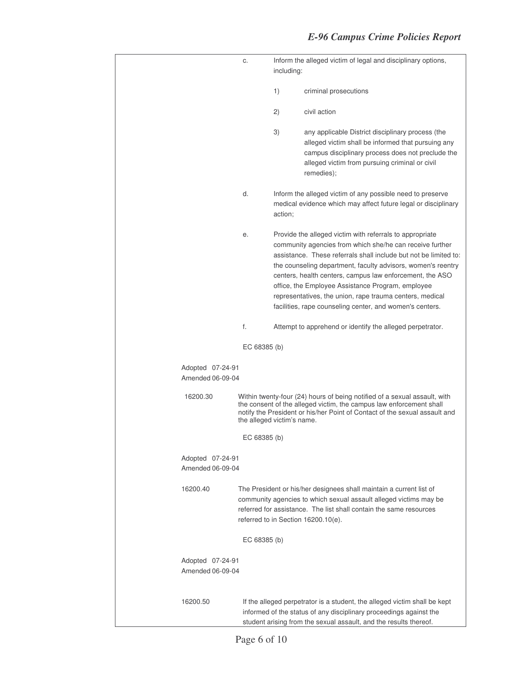|                                      | C.                         | Inform the alleged victim of legal and disciplinary options,<br>including: |                                                                                                                                                                                                                                                                                                                                                                                                                                                                                                   |
|--------------------------------------|----------------------------|----------------------------------------------------------------------------|---------------------------------------------------------------------------------------------------------------------------------------------------------------------------------------------------------------------------------------------------------------------------------------------------------------------------------------------------------------------------------------------------------------------------------------------------------------------------------------------------|
|                                      |                            | 1)                                                                         | criminal prosecutions                                                                                                                                                                                                                                                                                                                                                                                                                                                                             |
|                                      |                            | 2)                                                                         | civil action                                                                                                                                                                                                                                                                                                                                                                                                                                                                                      |
|                                      |                            | 3)                                                                         | any applicable District disciplinary process (the<br>alleged victim shall be informed that pursuing any<br>campus disciplinary process does not preclude the<br>alleged victim from pursuing criminal or civil<br>remedies);                                                                                                                                                                                                                                                                      |
|                                      | d.                         | action;                                                                    | Inform the alleged victim of any possible need to preserve<br>medical evidence which may affect future legal or disciplinary                                                                                                                                                                                                                                                                                                                                                                      |
|                                      | е.                         |                                                                            | Provide the alleged victim with referrals to appropriate<br>community agencies from which she/he can receive further<br>assistance. These referrals shall include but not be limited to:<br>the counseling department, faculty advisors, women's reentry<br>centers, health centers, campus law enforcement, the ASO<br>office, the Employee Assistance Program, employee<br>representatives, the union, rape trauma centers, medical<br>facilities, rape counseling center, and women's centers. |
|                                      | f.                         |                                                                            | Attempt to apprehend or identify the alleged perpetrator.                                                                                                                                                                                                                                                                                                                                                                                                                                         |
|                                      | EC 68385 (b)               |                                                                            |                                                                                                                                                                                                                                                                                                                                                                                                                                                                                                   |
| Adopted 07-24-91<br>Amended 06-09-04 |                            |                                                                            |                                                                                                                                                                                                                                                                                                                                                                                                                                                                                                   |
| 16200.30                             | the alleged victim's name. |                                                                            | Within twenty-four (24) hours of being notified of a sexual assault, with<br>the consent of the alleged victim, the campus law enforcement shall<br>notify the President or his/her Point of Contact of the sexual assault and                                                                                                                                                                                                                                                                    |
|                                      | EC 68385 (b)               |                                                                            |                                                                                                                                                                                                                                                                                                                                                                                                                                                                                                   |
| Adopted 07-24-91<br>Amended 06-09-04 |                            |                                                                            |                                                                                                                                                                                                                                                                                                                                                                                                                                                                                                   |
| 16200.40                             |                            |                                                                            | The President or his/her designees shall maintain a current list of<br>community agencies to which sexual assault alleged victims may be<br>referred for assistance. The list shall contain the same resources<br>referred to in Section 16200.10(e).                                                                                                                                                                                                                                             |
|                                      | EC 68385 (b)               |                                                                            |                                                                                                                                                                                                                                                                                                                                                                                                                                                                                                   |
| Adopted 07-24-91<br>Amended 06-09-04 |                            |                                                                            |                                                                                                                                                                                                                                                                                                                                                                                                                                                                                                   |
| 16200.50                             |                            |                                                                            | If the alleged perpetrator is a student, the alleged victim shall be kept<br>informed of the status of any disciplinary proceedings against the<br>student arising from the sexual assault, and the results thereof.                                                                                                                                                                                                                                                                              |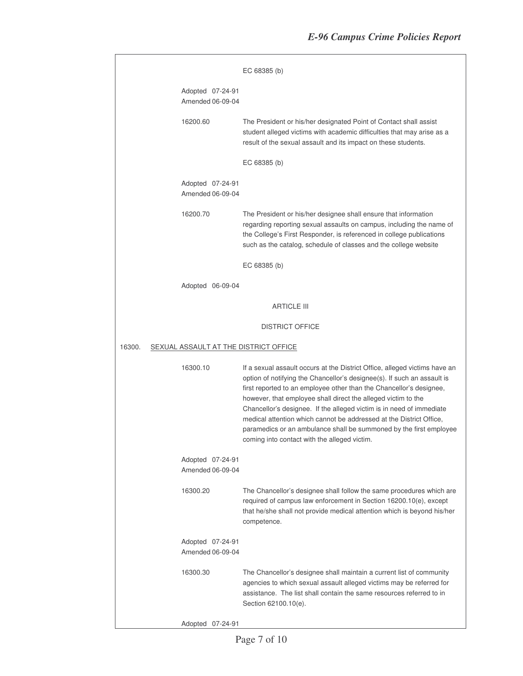|                                      |                                       | EC 68385 (b)                                                                                                                                                                                                                                                                                                                                                                                                                                                                                                                                                       |
|--------------------------------------|---------------------------------------|--------------------------------------------------------------------------------------------------------------------------------------------------------------------------------------------------------------------------------------------------------------------------------------------------------------------------------------------------------------------------------------------------------------------------------------------------------------------------------------------------------------------------------------------------------------------|
|                                      |                                       |                                                                                                                                                                                                                                                                                                                                                                                                                                                                                                                                                                    |
|                                      | Adopted 07-24-91<br>Amended 06-09-04  |                                                                                                                                                                                                                                                                                                                                                                                                                                                                                                                                                                    |
|                                      | 16200.60                              | The President or his/her designated Point of Contact shall assist<br>student alleged victims with academic difficulties that may arise as a<br>result of the sexual assault and its impact on these students.                                                                                                                                                                                                                                                                                                                                                      |
|                                      |                                       | EC 68385 (b)                                                                                                                                                                                                                                                                                                                                                                                                                                                                                                                                                       |
| Adopted 07-24-91<br>Amended 06-09-04 |                                       |                                                                                                                                                                                                                                                                                                                                                                                                                                                                                                                                                                    |
|                                      | 16200.70                              | The President or his/her designee shall ensure that information<br>regarding reporting sexual assaults on campus, including the name of<br>the College's First Responder, is referenced in college publications<br>such as the catalog, schedule of classes and the college website                                                                                                                                                                                                                                                                                |
|                                      |                                       | EC 68385 (b)                                                                                                                                                                                                                                                                                                                                                                                                                                                                                                                                                       |
|                                      | Adopted 06-09-04                      |                                                                                                                                                                                                                                                                                                                                                                                                                                                                                                                                                                    |
|                                      |                                       | <b>ARTICLE III</b>                                                                                                                                                                                                                                                                                                                                                                                                                                                                                                                                                 |
|                                      |                                       | <b>DISTRICT OFFICE</b>                                                                                                                                                                                                                                                                                                                                                                                                                                                                                                                                             |
| 16300.                               | SEXUAL ASSAULT AT THE DISTRICT OFFICE |                                                                                                                                                                                                                                                                                                                                                                                                                                                                                                                                                                    |
|                                      | 16300.10                              | If a sexual assault occurs at the District Office, alleged victims have an<br>option of notifying the Chancellor's designee(s). If such an assault is<br>first reported to an employee other than the Chancellor's designee,<br>however, that employee shall direct the alleged victim to the<br>Chancellor's designee. If the alleged victim is in need of immediate<br>medical attention which cannot be addressed at the District Office,<br>paramedics or an ambulance shall be summoned by the first employee<br>coming into contact with the alleged victim. |
|                                      | Adopted 07-24-91<br>Amended 06-09-04  |                                                                                                                                                                                                                                                                                                                                                                                                                                                                                                                                                                    |
|                                      | 16300.20                              | The Chancellor's designee shall follow the same procedures which are<br>required of campus law enforcement in Section 16200.10(e), except<br>that he/she shall not provide medical attention which is beyond his/her<br>competence.                                                                                                                                                                                                                                                                                                                                |
|                                      | Adopted 07-24-91<br>Amended 06-09-04  |                                                                                                                                                                                                                                                                                                                                                                                                                                                                                                                                                                    |
|                                      | 16300.30                              | The Chancellor's designee shall maintain a current list of community<br>agencies to which sexual assault alleged victims may be referred for<br>assistance. The list shall contain the same resources referred to in<br>Section 62100.10(e).                                                                                                                                                                                                                                                                                                                       |
|                                      | Adopted 07-24-91                      |                                                                                                                                                                                                                                                                                                                                                                                                                                                                                                                                                                    |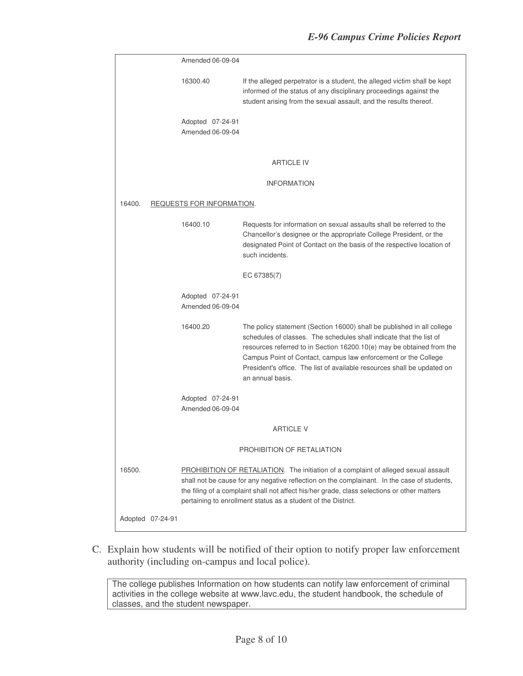|        |                            | Amended 06-09-04                     |                                                                                                                                                                                                                                                                                                                                                                                         |  |  |  |
|--------|----------------------------|--------------------------------------|-----------------------------------------------------------------------------------------------------------------------------------------------------------------------------------------------------------------------------------------------------------------------------------------------------------------------------------------------------------------------------------------|--|--|--|
|        |                            | 16300.40                             | If the alleged perpetrator is a student, the alleged victim shall be kept<br>informed of the status of any disciplinary proceedings against the<br>student arising from the sexual assault, and the results thereof.                                                                                                                                                                    |  |  |  |
|        |                            | Adopted 07-24-91<br>Amended 06-09-04 |                                                                                                                                                                                                                                                                                                                                                                                         |  |  |  |
|        |                            |                                      | <b>ARTICLE IV</b>                                                                                                                                                                                                                                                                                                                                                                       |  |  |  |
|        |                            |                                      | <b>INFORMATION</b>                                                                                                                                                                                                                                                                                                                                                                      |  |  |  |
| 16400. | REQUESTS FOR INFORMATION.  |                                      |                                                                                                                                                                                                                                                                                                                                                                                         |  |  |  |
|        |                            | 16400.10                             | Requests for information on sexual assaults shall be referred to the<br>Chancellor's designee or the appropriate College President, or the<br>designated Point of Contact on the basis of the respective location of<br>such incidents.                                                                                                                                                 |  |  |  |
|        |                            |                                      | EC 67385(7)                                                                                                                                                                                                                                                                                                                                                                             |  |  |  |
|        |                            | Adopted 07-24-91<br>Amended 06-09-04 |                                                                                                                                                                                                                                                                                                                                                                                         |  |  |  |
|        |                            | 16400.20                             | The policy statement (Section 16000) shall be published in all college<br>schedules of classes. The schedules shall indicate that the list of<br>resources referred to in Section 16200.10(e) may be obtained from the<br>Campus Point of Contact, campus law enforcement or the College<br>President's office. The list of available resources shall be updated on<br>an annual basis. |  |  |  |
|        |                            | Adopted 07-24-91<br>Amended 06-09-04 |                                                                                                                                                                                                                                                                                                                                                                                         |  |  |  |
|        | <b>ARTICLE V</b>           |                                      |                                                                                                                                                                                                                                                                                                                                                                                         |  |  |  |
|        | PROHIBITION OF RETALIATION |                                      |                                                                                                                                                                                                                                                                                                                                                                                         |  |  |  |
| 16500. |                            |                                      | PROHIBITION OF RETALIATION. The initiation of a complaint of alleged sexual assault<br>shall not be cause for any negative reflection on the complainant. In the case of students,<br>the filing of a complaint shall not affect his/her grade, class selections or other matters<br>pertaining to enrollment status as a student of the District.                                      |  |  |  |
|        | Adopted 07-24-91           |                                      |                                                                                                                                                                                                                                                                                                                                                                                         |  |  |  |

C. Explain how students will be notified of their option to notify proper law enforcement authority (including on-campus and local police).

The college publishes Information on how students can notify law enforcement of criminal activities in the college website at www.lavc.edu, the student handbook, the schedule of classes, and the student newspaper.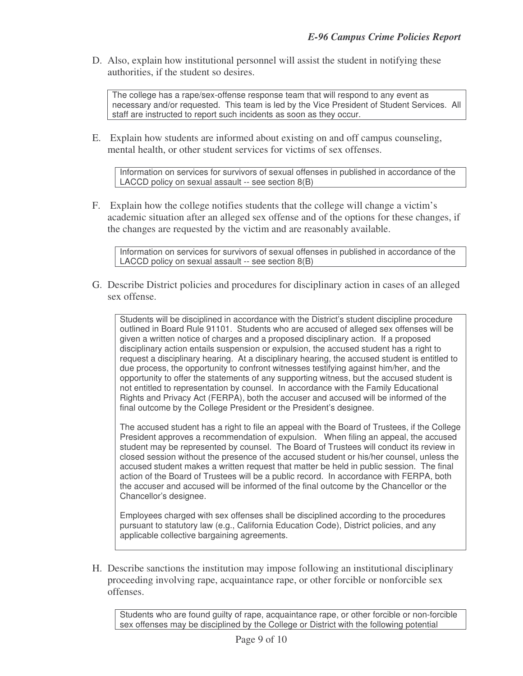D. Also, explain how institutional personnel will assist the student in notifying these authorities, if the student so desires.

The college has a rape/sex-offense response team that will respond to any event as necessary and/or requested. This team is led by the Vice President of Student Services. All staff are instructed to report such incidents as soon as they occur.

E. Explain how students are informed about existing on and off campus counseling, mental health, or other student services for victims of sex offenses.

Information on services for survivors of sexual offenses in published in accordance of the LACCD policy on sexual assault -- see section 8(B)

F. Explain how the college notifies students that the college will change a victim's academic situation after an alleged sex offense and of the options for these changes, if the changes are requested by the victim and are reasonably available.

Information on services for survivors of sexual offenses in published in accordance of the LACCD policy on sexual assault -- see section 8(B)

G. Describe District policies and procedures for disciplinary action in cases of an alleged sex offense.

Students will be disciplined in accordance with the District's student discipline procedure outlined in Board Rule 91101. Students who are accused of alleged sex offenses will be given a written notice of charges and a proposed disciplinary action. If a proposed disciplinary action entails suspension or expulsion, the accused student has a right to request a disciplinary hearing. At a disciplinary hearing, the accused student is entitled to due process, the opportunity to confront witnesses testifying against him/her, and the opportunity to offer the statements of any supporting witness, but the accused student is not entitled to representation by counsel. In accordance with the Family Educational Rights and Privacy Act (FERPA), both the accuser and accused will be informed of the final outcome by the College President or the President's designee.

The accused student has a right to file an appeal with the Board of Trustees, if the College President approves a recommendation of expulsion. When filing an appeal, the accused student may be represented by counsel. The Board of Trustees will conduct its review in closed session without the presence of the accused student or his/her counsel, unless the accused student makes a written request that matter be held in public session. The final action of the Board of Trustees will be a public record. In accordance with FERPA, both the accuser and accused will be informed of the final outcome by the Chancellor or the Chancellor's designee.

Employees charged with sex offenses shall be disciplined according to the procedures pursuant to statutory law (e.g., California Education Code), District policies, and any applicable collective bargaining agreements.

H. Describe sanctions the institution may impose following an institutional disciplinary proceeding involving rape, acquaintance rape, or other forcible or nonforcible sex offenses.

Students who are found guilty of rape, acquaintance rape, or other forcible or non-forcible sex offenses may be disciplined by the College or District with the following potential